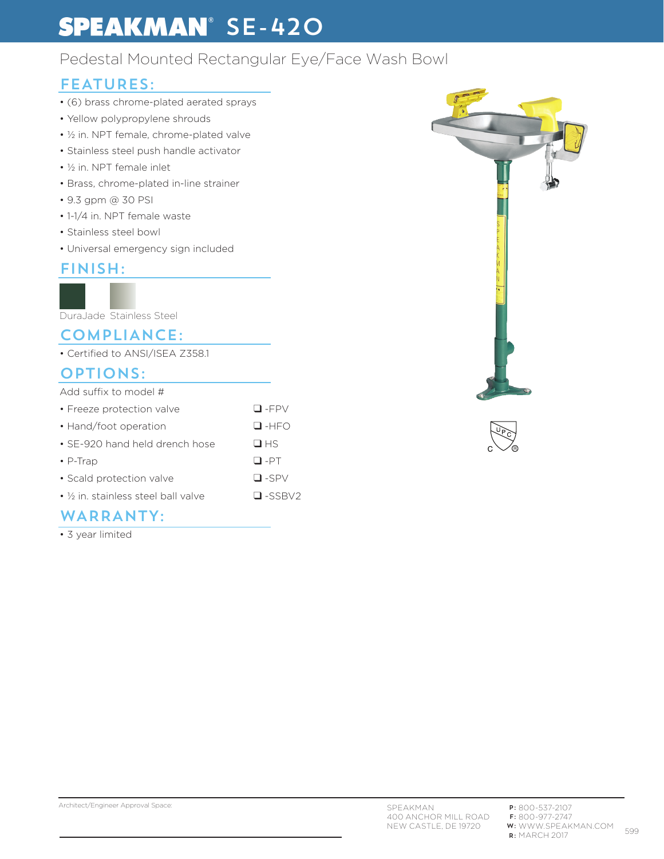# **SPEAKMAN**<sup>®</sup> SE-420

### Pedestal Mounted Rectangular Eye/Face Wash Bowl

### FEATURES:

- (6) brass chrome-plated aerated sprays
- Yellow polypropylene shrouds
- ½ in. NPT female, chrome-plated valve
- Stainless steel push handle activator
- ½ in. NPT female inlet
- Brass, chrome-plated in-line strainer
- 9.3 gpm @ 30 PSI
- 1-1/4 in. NPT female waste
- Stainless steel bowl
- Universal emergency sign included

### FINISH:

DuraJade Stainless Steel

#### COMPLIANCE:

• Certified to ANSI/ISEA Z358.1

### OPTIONS:

| Add suffix to model #                           |                |
|-------------------------------------------------|----------------|
| • Freeze protection valve                       | $\Box$ -FPV    |
| • Hand/foot operation                           | $\Box$ -HFO    |
| • SE-920 hand held drench hose                  | HSS            |
| $\cdot$ P-Trap                                  | $\Box$ -PT     |
| • Scald protection valve                        | $\square$ -SPV |
| • 1/ <sub>2</sub> in stainless steel ball valve | $\Box$ -SSBV2  |
|                                                 |                |

### WARRANTY:

• 3 year limited



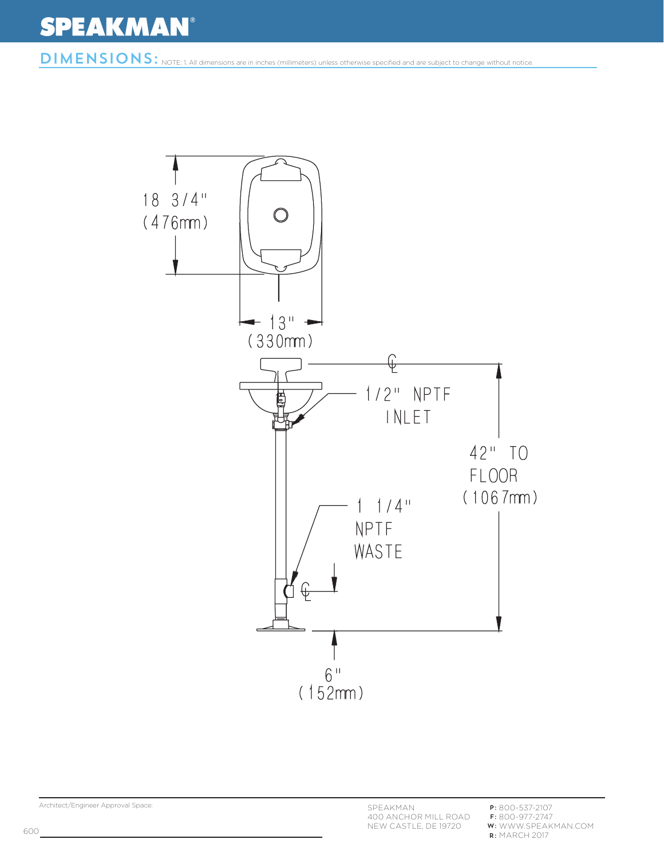# **SPEAKMAN®**

DIMENSIONS: NOTE: 1. All dimensions are in inches (millimeters) unless otherwise specified and are subject to change without notice.



Architect/Engineer Approval Space:

P: 800-537-2107 F: 800-977-2747 WWW.SPEAKMAN.COM **w:** WWW.SPEA<br>**r:** MARCH 2017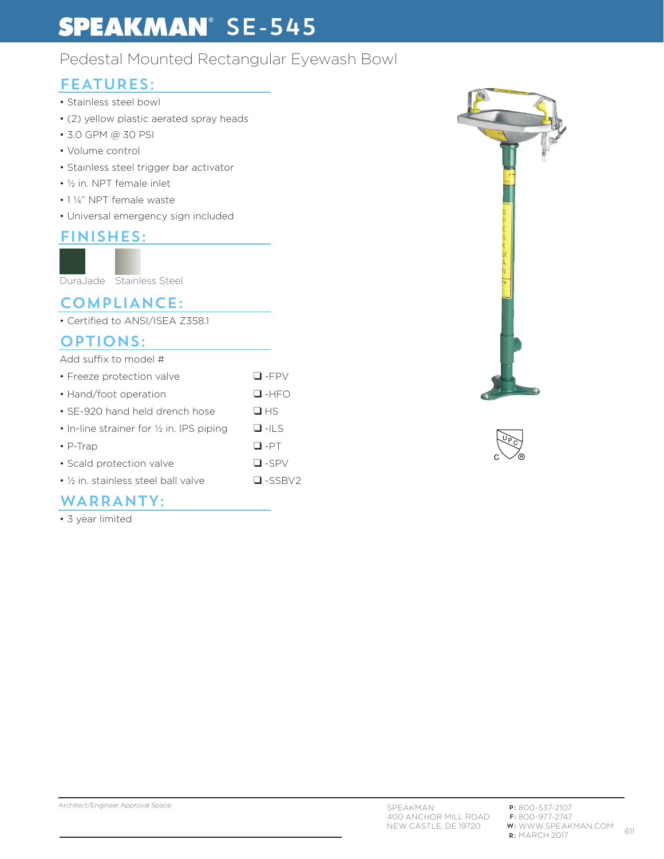# **SPEAKMAN**<sup>®</sup> SE-545

# Pedestal Mounted Rectangular Eyewash Bowl

## FEATURES:

- Stainless steel bowl
- (2) yellow plastic aerated spray heads
- 3.0 GPM @ 30 PSI
- Volume control
- Stainless steel trigger bar activator
- ½ in. NPT female inlet
- 1 ¼" NPT female waste
- Universal emergency sign included

### FINISHES:



DuraJade Stainless Steel

### COMPLIANCE:

• Certified to ANSI/ISEA Z358.1

### OPTIONS:

| Add suffix to model #                               |                  |
|-----------------------------------------------------|------------------|
| • Freeze protection valve                           | $\Box$ -FPV      |
| • Hand/foot operation                               | $\Box$ -HFO      |
| • SE-920 hand held drench hose                      | $\Box$ HS        |
| • In-line strainer for $\frac{1}{2}$ in. IPS piping | $\Box$ -ILS      |
| $\cdot$ P-Trap                                      | $\Box$ -PT       |
| • Scald protection valve                            | $\Box$ -SPV      |
| $\bullet$ % in, stainless steel ball valve          | $\square$ -SSBV2 |

### WARRANTY:

• 3 year limited





#### Architect/Engineer Approval Space: